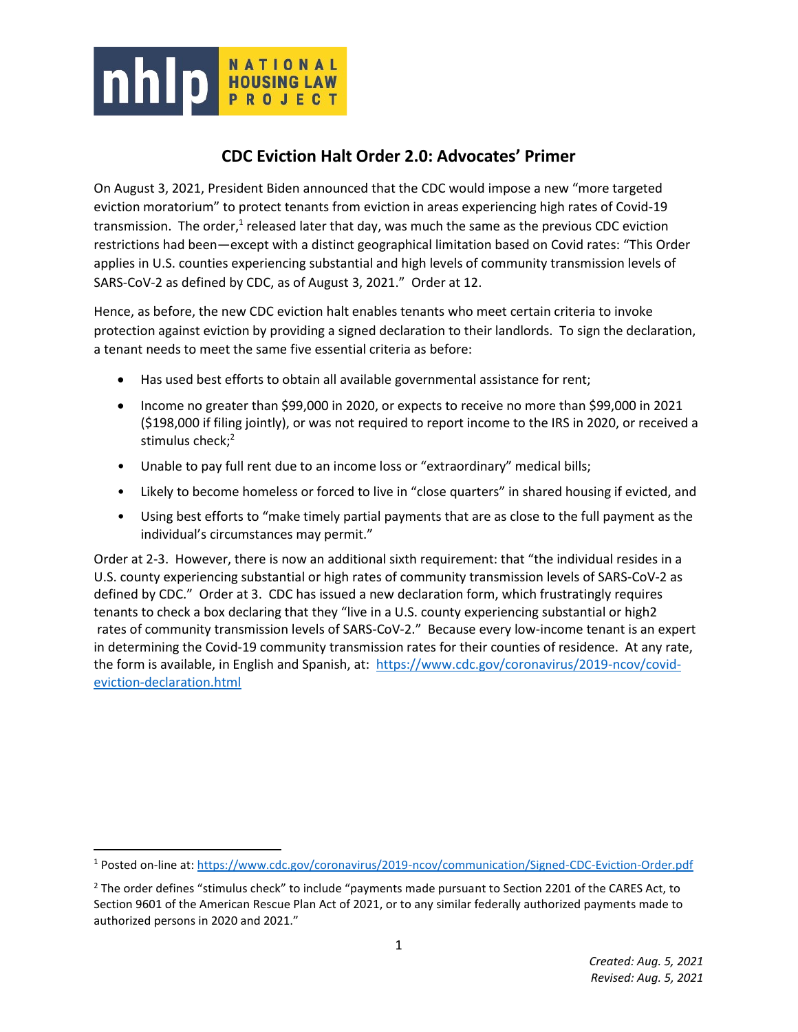

 $\overline{\phantom{a}}$ 

# **CDC Eviction Halt Order 2.0: Advocates' Primer**

On August 3, 2021, President Biden announced that the CDC would impose a new "more targeted eviction moratorium" to protect tenants from eviction in areas experiencing high rates of Covid-19 transmission. The order,<sup>1</sup> released later that day, was much the same as the previous CDC eviction restrictions had been—except with a distinct geographical limitation based on Covid rates: "This Order applies in U.S. counties experiencing substantial and high levels of community transmission levels of SARS-CoV-2 as defined by CDC, as of August 3, 2021." Order at 12.

Hence, as before, the new CDC eviction halt enables tenants who meet certain criteria to invoke protection against eviction by providing a signed declaration to their landlords. To sign the declaration, a tenant needs to meet the same five essential criteria as before:

- Has used best efforts to obtain all available governmental assistance for rent;
- Income no greater than \$99,000 in 2020, or expects to receive no more than \$99,000 in 2021 (\$198,000 if filing jointly), or was not required to report income to the IRS in 2020, or received a stimulus check;<sup>2</sup>
- Unable to pay full rent due to an income loss or "extraordinary" medical bills;
- Likely to become homeless or forced to live in "close quarters" in shared housing if evicted, and
- Using best efforts to "make timely partial payments that are as close to the full payment as the individual's circumstances may permit."

Order at 2-3. However, there is now an additional sixth requirement: that "the individual resides in a U.S. county experiencing substantial or high rates of community transmission levels of SARS-CoV-2 as defined by CDC." Order at 3. CDC has issued a new declaration form, which frustratingly requires tenants to check a box declaring that they "live in a U.S. county experiencing substantial or high2 rates of community transmission levels of SARS-CoV-2." Because every low-income tenant is an expert in determining the Covid-19 community transmission rates for their counties of residence. At any rate, the form is available, in English and Spanish, at: [https://www.cdc.gov/coronavirus/2019-ncov/covid](https://www.cdc.gov/coronavirus/2019-ncov/covid-eviction-declaration.html)[eviction-declaration.html](https://www.cdc.gov/coronavirus/2019-ncov/covid-eviction-declaration.html)

<sup>1</sup> Posted on-line at[: https://www.cdc.gov/coronavirus/2019-ncov/communication/Signed-CDC-Eviction-Order.pdf](https://www.cdc.gov/coronavirus/2019-ncov/communication/Signed-CDC-Eviction-Order.pdf)

<sup>&</sup>lt;sup>2</sup> The order defines "stimulus check" to include "payments made pursuant to Section 2201 of the CARES Act, to Section 9601 of the American Rescue Plan Act of 2021, or to any similar federally authorized payments made to authorized persons in 2020 and 2021."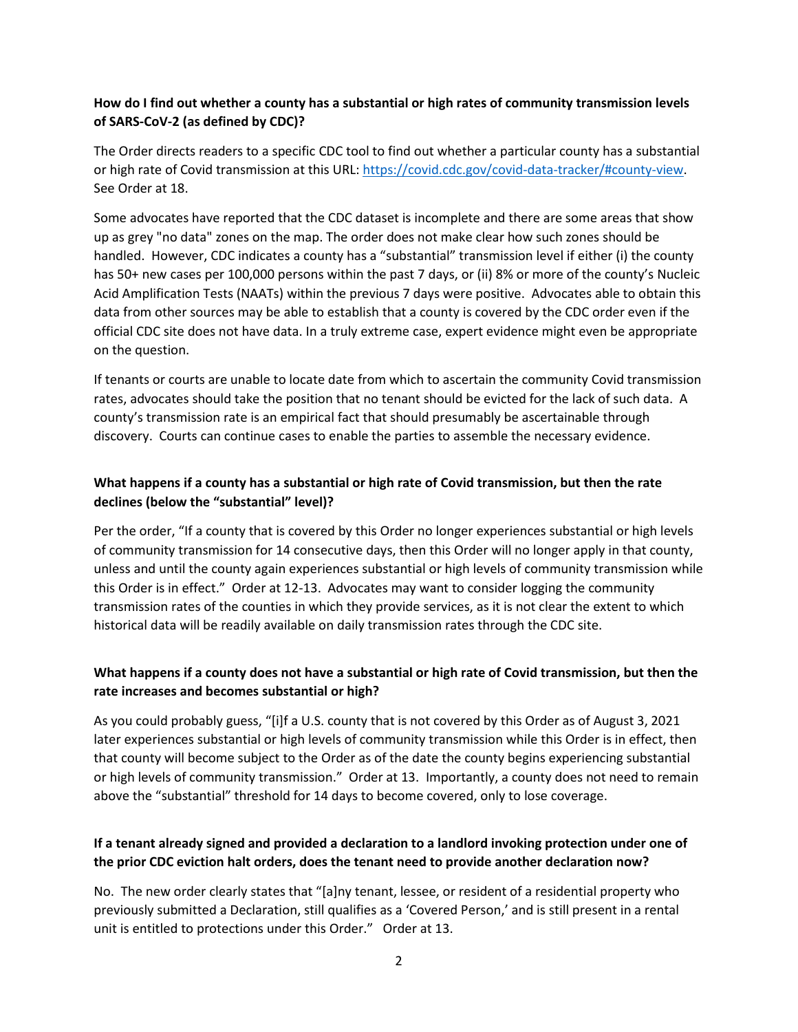#### **How do I find out whether a county has a substantial or high rates of community transmission levels of SARS-CoV-2 (as defined by CDC)?**

The Order directs readers to a specific CDC tool to find out whether a particular county has a substantial or high rate of Covid transmission at this URL[: https://covid.cdc.gov/covid-data-tracker/#county-view.](https://covid.cdc.gov/covid-data-tracker/#county-view) See Order at 18.

Some advocates have reported that the CDC dataset is incomplete and there are some areas that show up as grey "no data" zones on the map. The order does not make clear how such zones should be handled. However, CDC indicates a county has a "substantial" transmission level if either (i) the county has 50+ new cases per 100,000 persons within the past 7 days, or (ii) 8% or more of the county's Nucleic Acid Amplification Tests (NAATs) within the previous 7 days were positive. Advocates able to obtain this data from other sources may be able to establish that a county is covered by the CDC order even if the official CDC site does not have data. In a truly extreme case, expert evidence might even be appropriate on the question.

If tenants or courts are unable to locate date from which to ascertain the community Covid transmission rates, advocates should take the position that no tenant should be evicted for the lack of such data. A county's transmission rate is an empirical fact that should presumably be ascertainable through discovery. Courts can continue cases to enable the parties to assemble the necessary evidence.

### **What happens if a county has a substantial or high rate of Covid transmission, but then the rate declines (below the "substantial" level)?**

Per the order, "If a county that is covered by this Order no longer experiences substantial or high levels of community transmission for 14 consecutive days, then this Order will no longer apply in that county, unless and until the county again experiences substantial or high levels of community transmission while this Order is in effect." Order at 12-13. Advocates may want to consider logging the community transmission rates of the counties in which they provide services, as it is not clear the extent to which historical data will be readily available on daily transmission rates through the CDC site.

### **What happens if a county does not have a substantial or high rate of Covid transmission, but then the rate increases and becomes substantial or high?**

As you could probably guess, "[i]f a U.S. county that is not covered by this Order as of August 3, 2021 later experiences substantial or high levels of community transmission while this Order is in effect, then that county will become subject to the Order as of the date the county begins experiencing substantial or high levels of community transmission." Order at 13. Importantly, a county does not need to remain above the "substantial" threshold for 14 days to become covered, only to lose coverage.

### **If a tenant already signed and provided a declaration to a landlord invoking protection under one of the prior CDC eviction halt orders, does the tenant need to provide another declaration now?**

No. The new order clearly states that "[a]ny tenant, lessee, or resident of a residential property who previously submitted a Declaration, still qualifies as a 'Covered Person,' and is still present in a rental unit is entitled to protections under this Order." Order at 13.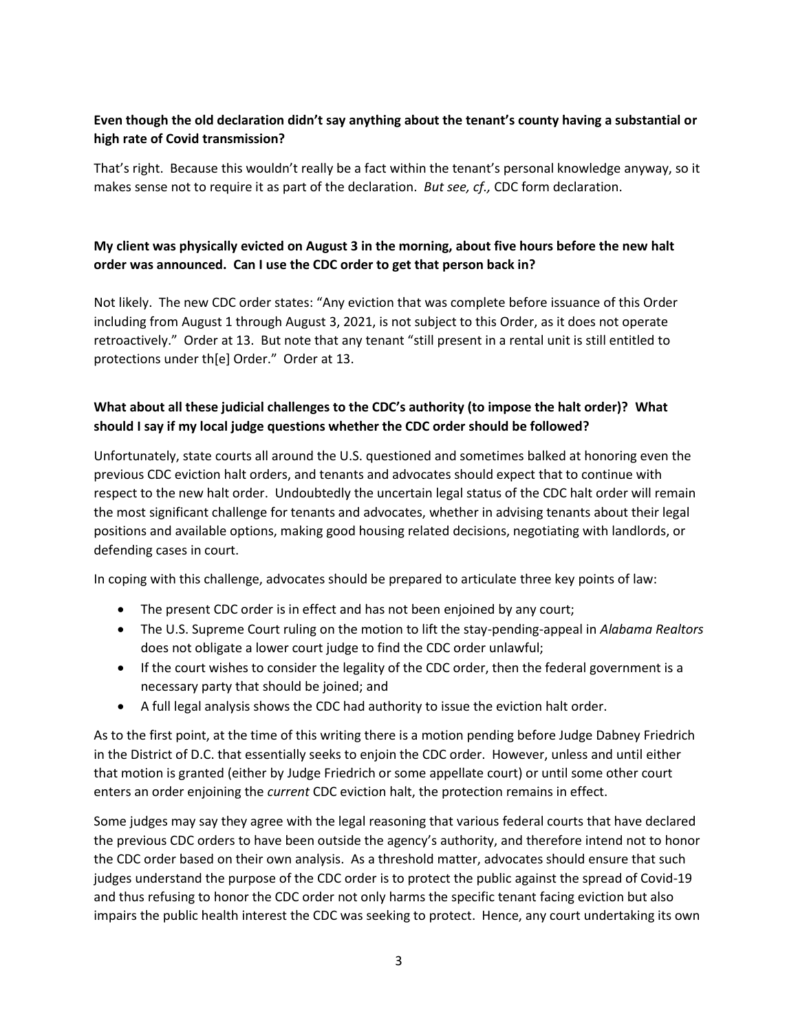### **Even though the old declaration didn't say anything about the tenant's county having a substantial or high rate of Covid transmission?**

That's right. Because this wouldn't really be a fact within the tenant's personal knowledge anyway, so it makes sense not to require it as part of the declaration. *But see, cf.,* CDC form declaration.

### **My client was physically evicted on August 3 in the morning, about five hours before the new halt order was announced. Can I use the CDC order to get that person back in?**

Not likely. The new CDC order states: "Any eviction that was complete before issuance of this Order including from August 1 through August 3, 2021, is not subject to this Order, as it does not operate retroactively." Order at 13. But note that any tenant "still present in a rental unit is still entitled to protections under th[e] Order." Order at 13.

### **What about all these judicial challenges to the CDC's authority (to impose the halt order)? What should I say if my local judge questions whether the CDC order should be followed?**

Unfortunately, state courts all around the U.S. questioned and sometimes balked at honoring even the previous CDC eviction halt orders, and tenants and advocates should expect that to continue with respect to the new halt order. Undoubtedly the uncertain legal status of the CDC halt order will remain the most significant challenge for tenants and advocates, whether in advising tenants about their legal positions and available options, making good housing related decisions, negotiating with landlords, or defending cases in court.

In coping with this challenge, advocates should be prepared to articulate three key points of law:

- The present CDC order is in effect and has not been enjoined by any court;
- The U.S. Supreme Court ruling on the motion to lift the stay-pending-appeal in *Alabama Realtors* does not obligate a lower court judge to find the CDC order unlawful;
- If the court wishes to consider the legality of the CDC order, then the federal government is a necessary party that should be joined; and
- A full legal analysis shows the CDC had authority to issue the eviction halt order.

As to the first point, at the time of this writing there is a motion pending before Judge Dabney Friedrich in the District of D.C. that essentially seeks to enjoin the CDC order. However, unless and until either that motion is granted (either by Judge Friedrich or some appellate court) or until some other court enters an order enjoining the *current* CDC eviction halt, the protection remains in effect.

Some judges may say they agree with the legal reasoning that various federal courts that have declared the previous CDC orders to have been outside the agency's authority, and therefore intend not to honor the CDC order based on their own analysis. As a threshold matter, advocates should ensure that such judges understand the purpose of the CDC order is to protect the public against the spread of Covid-19 and thus refusing to honor the CDC order not only harms the specific tenant facing eviction but also impairs the public health interest the CDC was seeking to protect. Hence, any court undertaking its own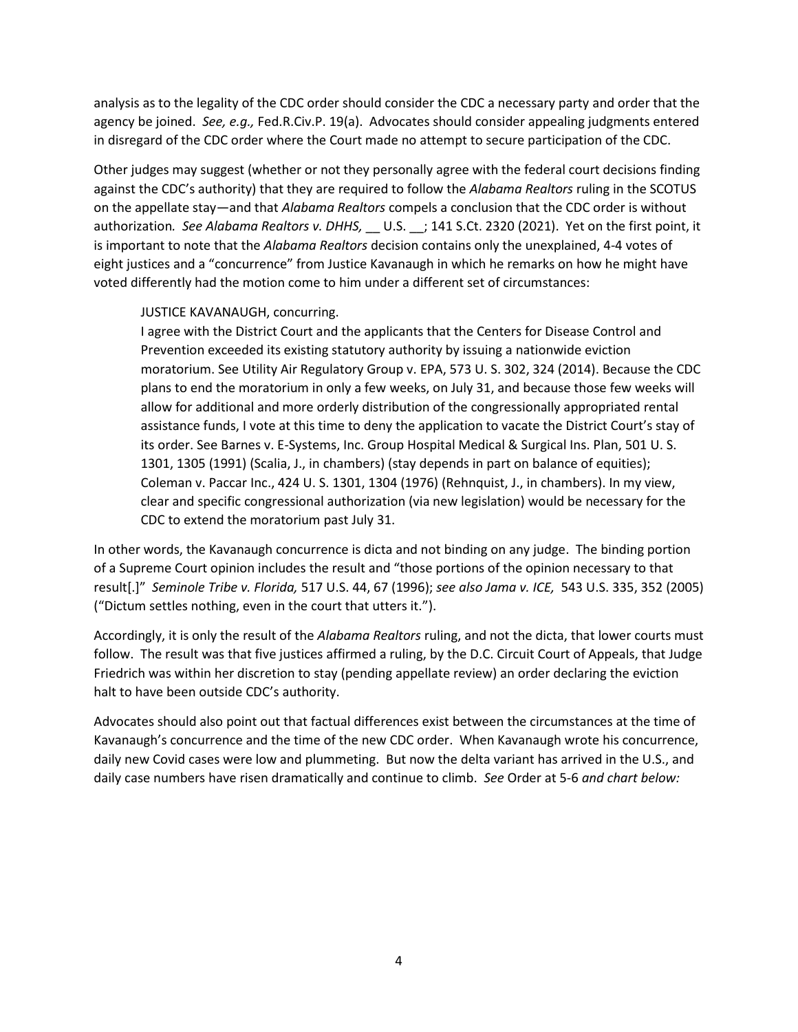analysis as to the legality of the CDC order should consider the CDC a necessary party and order that the agency be joined. *See, e.g.,* Fed.R.Civ.P. 19(a). Advocates should consider appealing judgments entered in disregard of the CDC order where the Court made no attempt to secure participation of the CDC.

Other judges may suggest (whether or not they personally agree with the federal court decisions finding against the CDC's authority) that they are required to follow the *Alabama Realtors* ruling in the SCOTUS on the appellate stay—and that *Alabama Realtors* compels a conclusion that the CDC order is without authorization*. See Alabama Realtors v. DHHS,* \_\_ U.S. \_\_; 141 S.Ct. 2320 (2021). Yet on the first point, it is important to note that the *Alabama Realtors* decision contains only the unexplained, 4-4 votes of eight justices and a "concurrence" from Justice Kavanaugh in which he remarks on how he might have voted differently had the motion come to him under a different set of circumstances:

#### JUSTICE KAVANAUGH, concurring.

I agree with the District Court and the applicants that the Centers for Disease Control and Prevention exceeded its existing statutory authority by issuing a nationwide eviction moratorium. See Utility Air Regulatory Group v. EPA, 573 U. S. 302, 324 (2014). Because the CDC plans to end the moratorium in only a few weeks, on July 31, and because those few weeks will allow for additional and more orderly distribution of the congressionally appropriated rental assistance funds, I vote at this time to deny the application to vacate the District Court's stay of its order. See Barnes v. E-Systems, Inc. Group Hospital Medical & Surgical Ins. Plan, 501 U. S. 1301, 1305 (1991) (Scalia, J., in chambers) (stay depends in part on balance of equities); Coleman v. Paccar Inc., 424 U. S. 1301, 1304 (1976) (Rehnquist, J., in chambers). In my view, clear and specific congressional authorization (via new legislation) would be necessary for the CDC to extend the moratorium past July 31.

In other words, the Kavanaugh concurrence is dicta and not binding on any judge. The binding portion of a Supreme Court opinion includes the result and "those portions of the opinion necessary to that result[.]" *Seminole Tribe v. Florida,* 517 U.S. 44, 67 (1996); *see also Jama v. ICE,* 543 U.S. 335, 352 (2005) ("Dictum settles nothing, even in the court that utters it.").

Accordingly, it is only the result of the *Alabama Realtors* ruling, and not the dicta, that lower courts must follow. The result was that five justices affirmed a ruling, by the D.C. Circuit Court of Appeals, that Judge Friedrich was within her discretion to stay (pending appellate review) an order declaring the eviction halt to have been outside CDC's authority.

Advocates should also point out that factual differences exist between the circumstances at the time of Kavanaugh's concurrence and the time of the new CDC order. When Kavanaugh wrote his concurrence, daily new Covid cases were low and plummeting. But now the delta variant has arrived in the U.S., and daily case numbers have risen dramatically and continue to climb. *See* Order at 5-6 *and chart below:*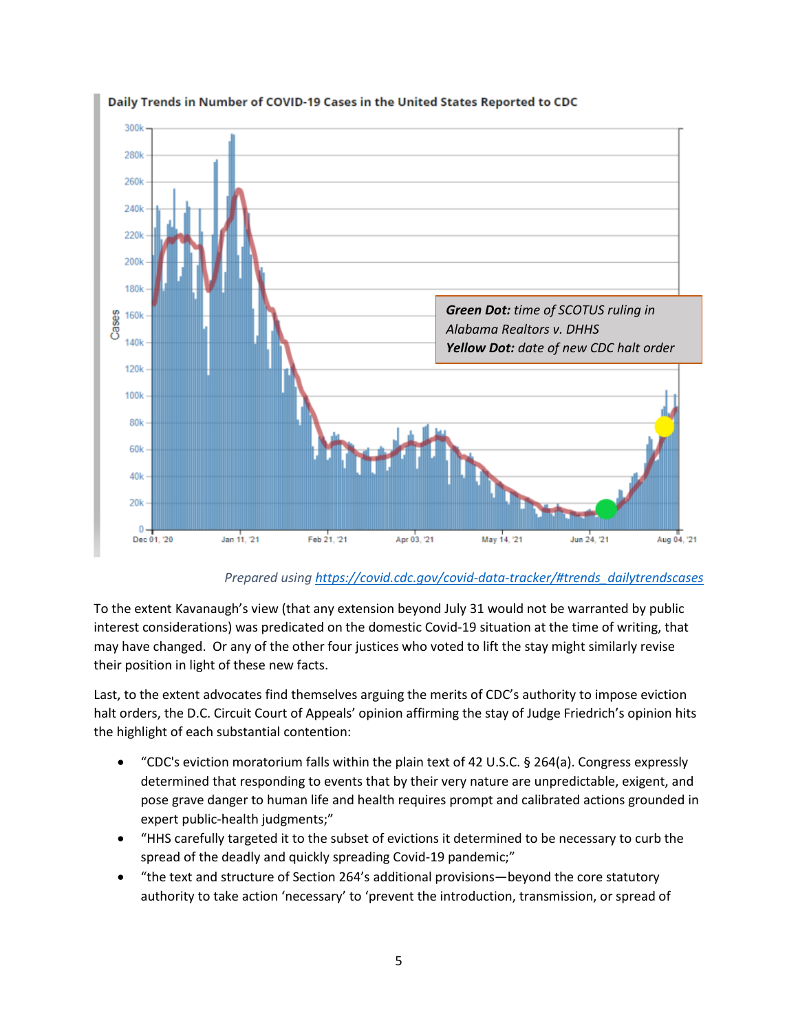

# Daily Trends in Number of COVID-19 Cases in the United States Reported to CDC

*Prepared using [https://covid.cdc.gov/covid-data-tracker/#trends\\_dailytrendscases](https://covid.cdc.gov/covid-data-tracker/#trends_dailytrendscases)*

To the extent Kavanaugh's view (that any extension beyond July 31 would not be warranted by public interest considerations) was predicated on the domestic Covid-19 situation at the time of writing, that may have changed. Or any of the other four justices who voted to lift the stay might similarly revise their position in light of these new facts.

Last, to the extent advocates find themselves arguing the merits of CDC's authority to impose eviction halt orders, the D.C. Circuit Court of Appeals' opinion affirming the stay of Judge Friedrich's opinion hits the highlight of each substantial contention:

- "CDC's eviction moratorium falls within the plain text of 42 U.S.C. § 264(a). Congress expressly determined that responding to events that by their very nature are unpredictable, exigent, and pose grave danger to human life and health requires prompt and calibrated actions grounded in expert public-health judgments;"
- "HHS carefully targeted it to the subset of evictions it determined to be necessary to curb the spread of the deadly and quickly spreading Covid-19 pandemic;"
- "the text and structure of Section 264's additional provisions—beyond the core statutory authority to take action 'necessary' to 'prevent the introduction, transmission, or spread of